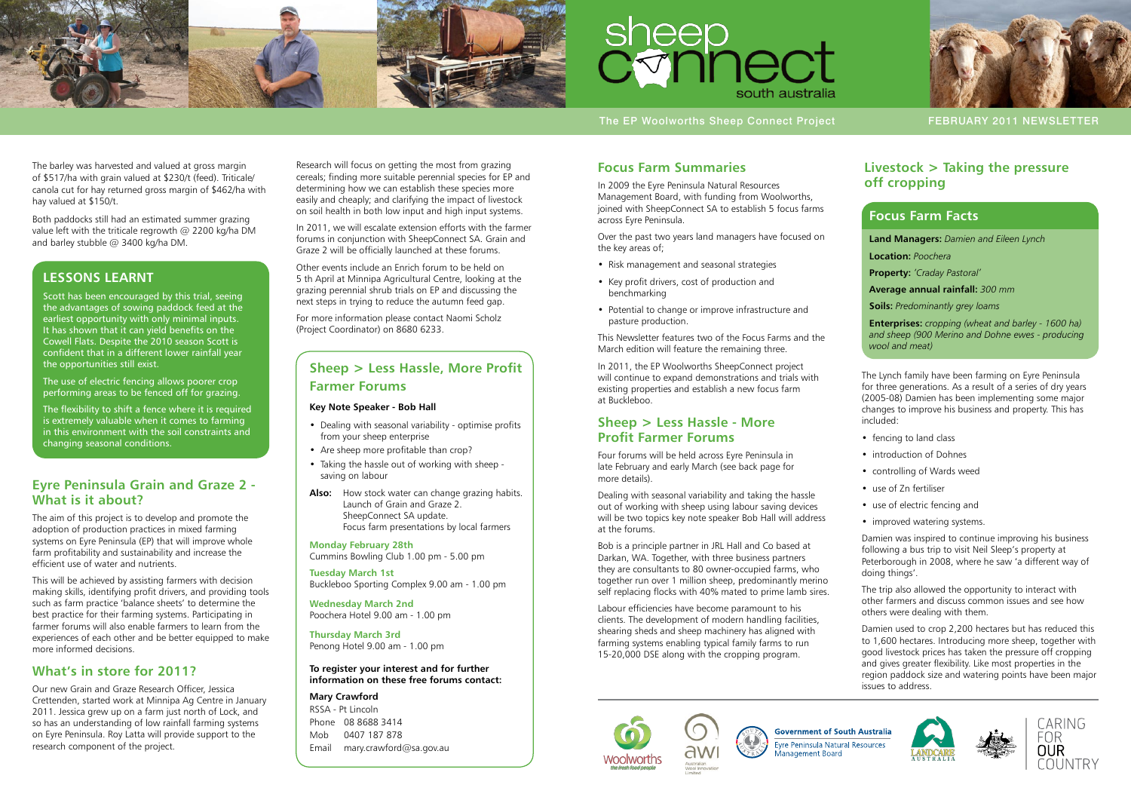



The EP Woolworths Sheep Connect Project February 2011 NEWSLETTER

## **Focus Farm Summaries**

In 2009 the Eyre Peninsula Natural Resources Management Board, with funding from Woolworths, joined with SheepConnect SA to establish 5 focus farms across Eyre Peninsula.

- Risk management and seasonal strategies
- Key profit drivers, cost of production and benchmarking
- Potential to change or improve infrastructure and pasture production.

Over the past two years land managers have focused on the key areas of;

This Newsletter features two of the Focus Farms and the March edition will feature the remaining three.

In 2011, the EP Woolworths SheepConnect project will continue to expand demonstrations and trials with existing properties and establish a new focus farm at Buckleboo.

### **Sheep > Less Hassle - More Profit Farmer Forums**

Four forums will be held across Eyre Peninsula in late February and early March (see back page for more details).

Dealing with seasonal variability and taking the hassle out of working with sheep using labour saving devices will be two topics key note speaker Bob Hall will address at the forums.

Bob is a principle partner in JRL Hall and Co based at Darkan, WA. Together, with three business partners they are consultants to 80 owner-occupied farms, who together run over 1 million sheep, predominantly merino self replacing flocks with 40% mated to prime lamb sires.

Labour efficiencies have become paramount to his clients. The development of modern handling facilities, shearing sheds and sheep machinery has aligned with farming systems enabling typical family farms to run 15-20,000 DSE along with the cropping program.





-<br>Evre Peninsula Natural Resources Management Board







# **Livestock > Taking the pressure off cropping**

The Lynch family have been farming on Eyre Peninsula for three generations. As a result of a series of dry years (2005-08) Damien has been implementing some major changes to improve his business and property. This has included:

- fencing to land class
- introduction of Dohnes
- controlling of Wards weed
- use of 7n fertiliser
- use of electric fencing and
- improved watering systems.

Damien was inspired to continue improving his business following a bus trip to visit Neil Sleep's property at Peterborough in 2008, where he saw 'a different way of doing things'.

The trip also allowed the opportunity to interact with other farmers and discuss common issues and see how others were dealing with them.

Damien used to crop 2,200 hectares but has reduced this to 1,600 hectares. Introducing more sheep, together with good livestock prices has taken the pressure off cropping and gives greater flexibility. Like most properties in the region paddock size and watering points have been major issues to address.

**Government of South Australia** 







- Dealing with seasonal variability optimise profits from your sheep enterprise
- Are sheep more profitable than crop?
- Taking the hassle out of working with sheep saving on labour
- **Also:** How stock water can change grazing habits. Launch of Grain and Graze 2. SheepConnect SA update. Focus farm presentations by local farmers

### **Focus Farm Facts**

**Land Managers:** *Damien and Eileen Lynch*

**Location:** *Poochera*

**Property:** *'Craday Pastoral'*

**Average annual rainfall:** *300 mm*

**Soils:** *Predominantly grey loams*

**Enterprises:** *cropping (wheat and barley - 1600 ha) and sheep (900 Merino and Dohne ewes - producing wool and meat)*

### **Eyre Peninsula Grain and Graze 2 - What is it about?**

The aim of this project is to develop and promote the adoption of production practices in mixed farming systems on Eyre Peninsula (EP) that will improve whole farm profitability and sustainability and increase the efficient use of water and nutrients.

This will be achieved by assisting farmers with decision making skills, identifying profit drivers, and providing tools such as farm practice 'balance sheets' to determine the best practice for their farming systems. Participating in farmer forums will also enable farmers to learn from the experiences of each other and be better equipped to make more informed decisions.

## **What's in store for 2011?**

Our new Grain and Graze Research Officer, Jessica Crettenden, started work at Minnipa Ag Centre in January 2011. Jessica grew up on a farm just north of Lock, and so has an understanding of low rainfall farming systems on Eyre Peninsula. Roy Latta will provide support to the research component of the project.

Research will focus on getting the most from grazing cereals; finding more suitable perennial species for EP and determining how we can establish these species more easily and cheaply; and clarifying the impact of livestock on soil health in both low input and high input systems.

In 2011, we will escalate extension efforts with the farmer forums in conjunction with SheepConnect SA. Grain and Graze 2 will be officially launched at these forums.

Other events include an Enrich forum to be held on 5 th April at Minnipa Agricultural Centre, looking at the grazing perennial shrub trials on EP and discussing the next steps in trying to reduce the autumn feed gap.

For more information please contact Naomi Scholz (Project Coordinator) on 8680 6233.

# **Sheep > Less Hassle, More Profit Farmer Forums**

#### **Key Note Speaker - Bob Hall**

**Monday February 28th**  Cummins Bowling Club 1.00 pm - 5.00 pm

**Tuesday March 1st**  Buckleboo Sporting Complex 9.00 am - 1.00 pm

**Wednesday March 2nd**  Poochera Hotel 9.00 am - 1.00 pm

**Thursday March 3rd**  Penong Hotel 9.00 am - 1.00 pm

#### **To register your interest and for further information on these free forums contact:**

**Mary Crawford** RSSA - Pt Lincoln Phone 08 8688 3414 Mob 0407 187 878 Email mary.crawford@sa.gov.au

## **Lessons learnt**

Scott has been encouraged by this trial, seeing the advantages of sowing paddock feed at the earliest opportunity with only minimal inputs. It has shown that it can yield benefits on the Cowell Flats. Despite the 2010 season Scott is confident that in a different lower rainfall year the opportunities still exist.

The use of electric fencing allows poorer crop performing areas to be fenced off for grazing.

The flexibility to shift a fence where it is required is extremely valuable when it comes to farming in this environment with the soil constraints and changing seasonal conditions.

The barley was harvested and valued at gross margin of \$517/ha with grain valued at \$230/t (feed). Triticale/ canola cut for hay returned gross margin of \$462/ha with hay valued at \$150/t.

Both paddocks still had an estimated summer grazing value left with the triticale regrowth @ 2200 kg/ha DM and barley stubble @ 3400 kg/ha DM.